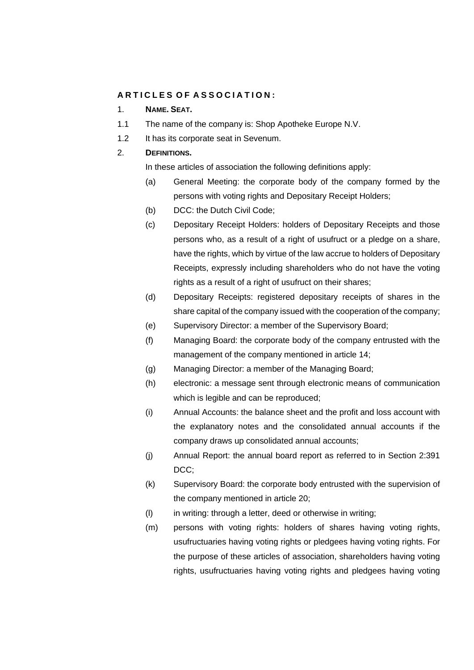# **A R T I C L E S O F A S S O C I A T I O N :**

## 1. **NAME. SEAT.**

- 1.1 The name of the company is: Shop Apotheke Europe N.V.
- 1.2 It has its corporate seat in Sevenum.

# 2. **DEFINITIONS.**

In these articles of association the following definitions apply:

- (a) General Meeting: the corporate body of the company formed by the persons with voting rights and Depositary Receipt Holders;
- (b) DCC: the Dutch Civil Code;
- (c) Depositary Receipt Holders: holders of Depositary Receipts and those persons who, as a result of a right of usufruct or a pledge on a share, have the rights, which by virtue of the law accrue to holders of Depositary Receipts, expressly including shareholders who do not have the voting rights as a result of a right of usufruct on their shares;
- (d) Depositary Receipts: registered depositary receipts of shares in the share capital of the company issued with the cooperation of the company;
- (e) Supervisory Director: a member of the Supervisory Board;
- (f) Managing Board: the corporate body of the company entrusted with the management of the company mentioned in article 14;
- (g) Managing Director: a member of the Managing Board;
- (h) electronic: a message sent through electronic means of communication which is legible and can be reproduced;
- (i) Annual Accounts: the balance sheet and the profit and loss account with the explanatory notes and the consolidated annual accounts if the company draws up consolidated annual accounts;
- (j) Annual Report: the annual board report as referred to in Section 2:391 DCC:
- (k) Supervisory Board: the corporate body entrusted with the supervision of the company mentioned in article [20](#page-11-0);
- (l) in writing: through a letter, deed or otherwise in writing;
- (m) persons with voting rights: holders of shares having voting rights, usufructuaries having voting rights or pledgees having voting rights. For the purpose of these articles of association, shareholders having voting rights, usufructuaries having voting rights and pledgees having voting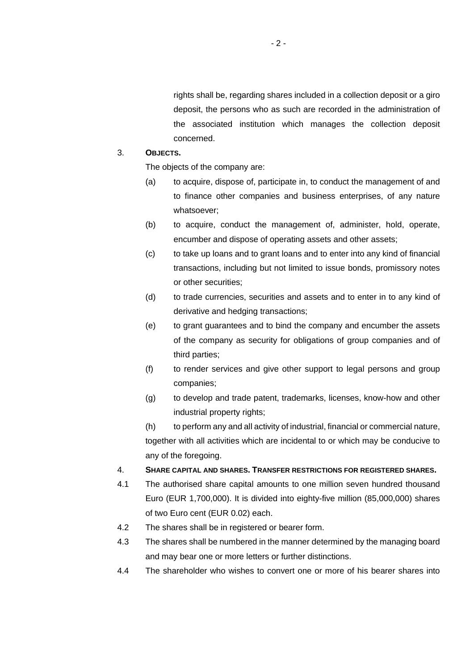rights shall be, regarding shares included in a collection deposit or a giro deposit, the persons who as such are recorded in the administration of the associated institution which manages the collection deposit concerned.

## 3. **OBJECTS.**

The objects of the company are:

- (a) to acquire, dispose of, participate in, to conduct the management of and to finance other companies and business enterprises, of any nature whatsoever;
- (b) to acquire, conduct the management of, administer, hold, operate, encumber and dispose of operating assets and other assets;
- (c) to take up loans and to grant loans and to enter into any kind of financial transactions, including but not limited to issue bonds, promissory notes or other securities;
- (d) to trade currencies, securities and assets and to enter in to any kind of derivative and hedging transactions;
- (e) to grant guarantees and to bind the company and encumber the assets of the company as security for obligations of group companies and of third parties;
- (f) to render services and give other support to legal persons and group companies;
- (g) to develop and trade patent, trademarks, licenses, know-how and other industrial property rights;

(h) to perform any and all activity of industrial, financial or commercial nature, together with all activities which are incidental to or which may be conducive to any of the foregoing.

## 4. **SHARE CAPITAL AND SHARES. TRANSFER RESTRICTIONS FOR REGISTERED SHARES.**

- 4.1 The authorised share capital amounts to one million seven hundred thousand Euro (EUR 1,700,000). It is divided into eighty-five million (85,000,000) shares of two Euro cent (EUR 0.02) each.
- 4.2 The shares shall be in registered or bearer form.
- 4.3 The shares shall be numbered in the manner determined by the managing board and may bear one or more letters or further distinctions.
- 4.4 The shareholder who wishes to convert one or more of his bearer shares into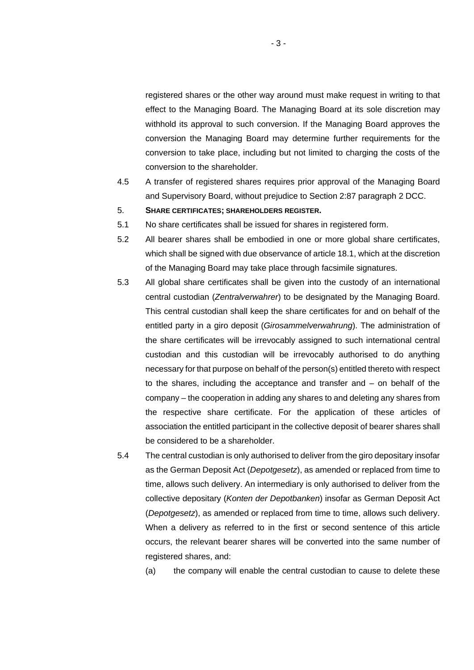registered shares or the other way around must make request in writing to that effect to the Managing Board. The Managing Board at its sole discretion may withhold its approval to such conversion. If the Managing Board approves the conversion the Managing Board may determine further requirements for the conversion to take place, including but not limited to charging the costs of the conversion to the shareholder.

- 4.5 A transfer of registered shares requires prior approval of the Managing Board and Supervisory Board, without prejudice to Section 2:87 paragraph 2 DCC.
- 5. **SHARE CERTIFICATES; SHAREHOLDERS REGISTER.**
- 5.1 No share certificates shall be issued for shares in registered form.
- 5.2 All bearer shares shall be embodied in one or more global share certificates, which shall be signed with due observance of article 18.1, which at the discretion of the Managing Board may take place through facsimile signatures.
- 5.3 All global share certificates shall be given into the custody of an international central custodian (*Zentralverwahrer*) to be designated by the Managing Board. This central custodian shall keep the share certificates for and on behalf of the entitled party in a giro deposit (*Girosammelverwahrung*). The administration of the share certificates will be irrevocably assigned to such international central custodian and this custodian will be irrevocably authorised to do anything necessary for that purpose on behalf of the person(s) entitled thereto with respect to the shares, including the acceptance and transfer and – on behalf of the company – the cooperation in adding any shares to and deleting any shares from the respective share certificate. For the application of these articles of association the entitled participant in the collective deposit of bearer shares shall be considered to be a shareholder.
- 5.4 The central custodian is only authorised to deliver from the giro depositary insofar as the German Deposit Act (*Depotgesetz*), as amended or replaced from time to time, allows such delivery. An intermediary is only authorised to deliver from the collective depositary (*Konten der Depotbanken*) insofar as German Deposit Act (*Depotgesetz*), as amended or replaced from time to time, allows such delivery. When a delivery as referred to in the first or second sentence of this article occurs, the relevant bearer shares will be converted into the same number of registered shares, and:

(a) the company will enable the central custodian to cause to delete these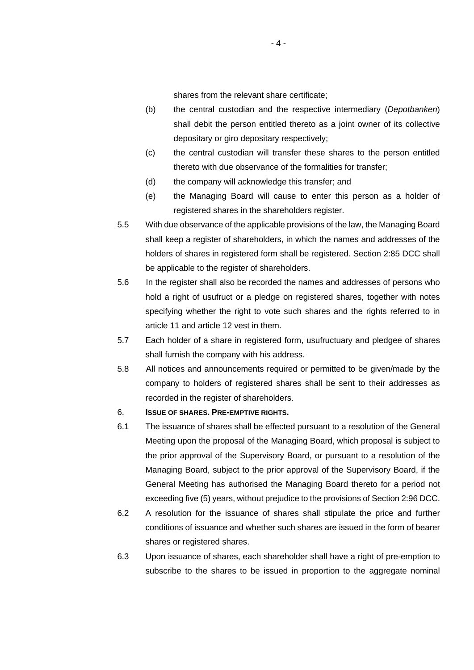shares from the relevant share certificate;

- (b) the central custodian and the respective intermediary (*Depotbanken*) shall debit the person entitled thereto as a joint owner of its collective depositary or giro depositary respectively;
- (c) the central custodian will transfer these shares to the person entitled thereto with due observance of the formalities for transfer;
- (d) the company will acknowledge this transfer; and
- (e) the Managing Board will cause to enter this person as a holder of registered shares in the shareholders register.
- 5.5 With due observance of the applicable provisions of the law, the Managing Board shall keep a register of shareholders, in which the names and addresses of the holders of shares in registered form shall be registered. Section 2:85 DCC shall be applicable to the register of shareholders.
- 5.6 In the register shall also be recorded the names and addresses of persons who hold a right of usufruct or a pledge on registered shares, together with notes specifying whether the right to vote such shares and the rights referred to in article 11 and article 12 vest in them.
- 5.7 Each holder of a share in registered form, usufructuary and pledgee of shares shall furnish the company with his address.
- 5.8 All notices and announcements required or permitted to be given/made by the company to holders of registered shares shall be sent to their addresses as recorded in the register of shareholders.

#### 6. **ISSUE OF SHARES. PRE-EMPTIVE RIGHTS.**

- 6.1 The issuance of shares shall be effected pursuant to a resolution of the General Meeting upon the proposal of the Managing Board, which proposal is subject to the prior approval of the Supervisory Board, or pursuant to a resolution of the Managing Board, subject to the prior approval of the Supervisory Board, if the General Meeting has authorised the Managing Board thereto for a period not exceeding five (5) years, without prejudice to the provisions of Section 2:96 DCC.
- 6.2 A resolution for the issuance of shares shall stipulate the price and further conditions of issuance and whether such shares are issued in the form of bearer shares or registered shares.
- 6.3 Upon issuance of shares, each shareholder shall have a right of pre-emption to subscribe to the shares to be issued in proportion to the aggregate nominal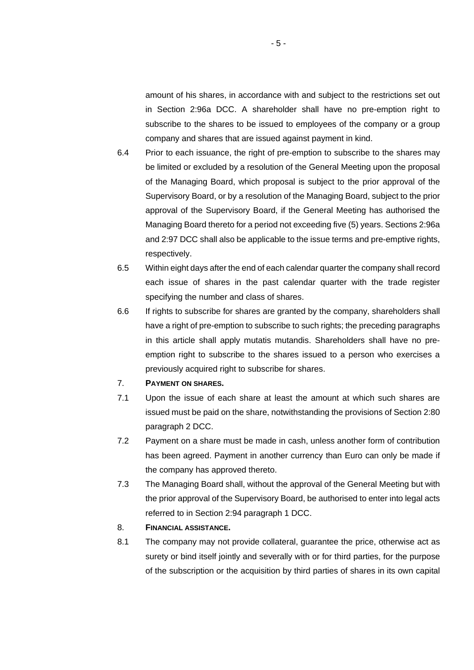amount of his shares, in accordance with and subject to the restrictions set out in Section 2:96a DCC. A shareholder shall have no pre-emption right to subscribe to the shares to be issued to employees of the company or a group company and shares that are issued against payment in kind.

- 6.4 Prior to each issuance, the right of pre-emption to subscribe to the shares may be limited or excluded by a resolution of the General Meeting upon the proposal of the Managing Board, which proposal is subject to the prior approval of the Supervisory Board, or by a resolution of the Managing Board, subject to the prior approval of the Supervisory Board, if the General Meeting has authorised the Managing Board thereto for a period not exceeding five (5) years. Sections 2:96a and 2:97 DCC shall also be applicable to the issue terms and pre-emptive rights, respectively.
- 6.5 Within eight days after the end of each calendar quarter the company shall record each issue of shares in the past calendar quarter with the trade register specifying the number and class of shares.
- 6.6 If rights to subscribe for shares are granted by the company, shareholders shall have a right of pre-emption to subscribe to such rights; the preceding paragraphs in this article shall apply mutatis mutandis. Shareholders shall have no preemption right to subscribe to the shares issued to a person who exercises a previously acquired right to subscribe for shares.

#### 7. **PAYMENT ON SHARES.**

- 7.1 Upon the issue of each share at least the amount at which such shares are issued must be paid on the share, notwithstanding the provisions of Section 2:80 paragraph 2 DCC.
- 7.2 Payment on a share must be made in cash, unless another form of contribution has been agreed. Payment in another currency than Euro can only be made if the company has approved thereto.
- 7.3 The Managing Board shall, without the approval of the General Meeting but with the prior approval of the Supervisory Board, be authorised to enter into legal acts referred to in Section 2:94 paragraph 1 DCC.

# 8. **FINANCIAL ASSISTANCE.**

8.1 The company may not provide collateral, guarantee the price, otherwise act as surety or bind itself jointly and severally with or for third parties, for the purpose of the subscription or the acquisition by third parties of shares in its own capital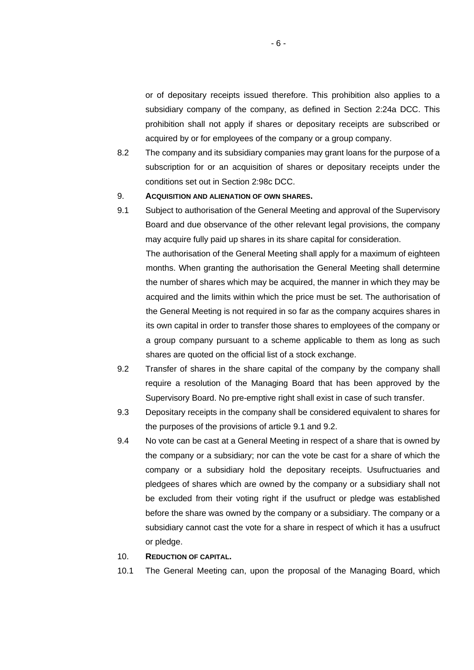or of depositary receipts issued therefore. This prohibition also applies to a subsidiary company of the company, as defined in Section 2:24a DCC. This prohibition shall not apply if shares or depositary receipts are subscribed or acquired by or for employees of the company or a group company.

8.2 The company and its subsidiary companies may grant loans for the purpose of a subscription for or an acquisition of shares or depositary receipts under the conditions set out in Section 2:98c DCC.

### 9. **ACQUISITION AND ALIENATION OF OWN SHARES.**

<span id="page-5-0"></span>9.1 Subject to authorisation of the General Meeting and approval of the Supervisory Board and due observance of the other relevant legal provisions, the company may acquire fully paid up shares in its share capital for consideration. The authorisation of the General Meeting shall apply for a maximum of eighteen months. When granting the authorisation the General Meeting shall determine the number of shares which may be acquired, the manner in which they may be

acquired and the limits within which the price must be set. The authorisation of the General Meeting is not required in so far as the company acquires shares in its own capital in order to transfer those shares to employees of the company or a group company pursuant to a scheme applicable to them as long as such shares are quoted on the official list of a stock exchange.

- <span id="page-5-1"></span>9.2 Transfer of shares in the share capital of the company by the company shall require a resolution of the Managing Board that has been approved by the Supervisory Board. No pre-emptive right shall exist in case of such transfer.
- 9.3 Depositary receipts in the company shall be considered equivalent to shares for the purposes of the provisions of article [9.1](#page-5-0) and [9.2](#page-5-1).
- 9.4 No vote can be cast at a General Meeting in respect of a share that is owned by the company or a subsidiary; nor can the vote be cast for a share of which the company or a subsidiary hold the depositary receipts. Usufructuaries and pledgees of shares which are owned by the company or a subsidiary shall not be excluded from their voting right if the usufruct or pledge was established before the share was owned by the company or a subsidiary. The company or a subsidiary cannot cast the vote for a share in respect of which it has a usufruct or pledge.
- 10. **REDUCTION OF CAPITAL.**
- 10.1 The General Meeting can, upon the proposal of the Managing Board, which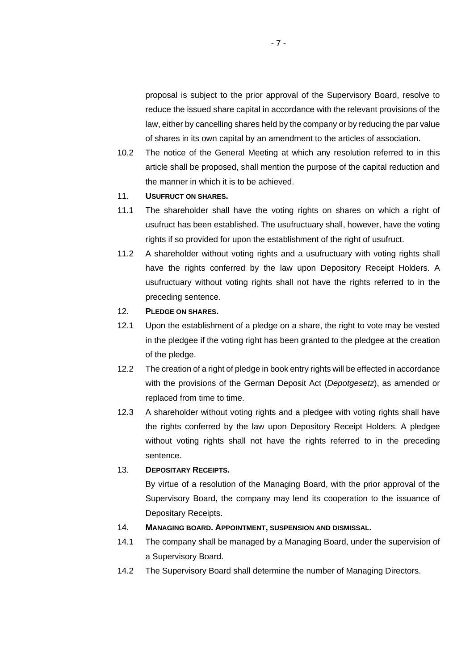proposal is subject to the prior approval of the Supervisory Board, resolve to reduce the issued share capital in accordance with the relevant provisions of the law, either by cancelling shares held by the company or by reducing the par value of shares in its own capital by an amendment to the articles of association.

10.2 The notice of the General Meeting at which any resolution referred to in this article shall be proposed, shall mention the purpose of the capital reduction and the manner in which it is to be achieved.

# 11. **USUFRUCT ON SHARES.**

- 11.1 The shareholder shall have the voting rights on shares on which a right of usufruct has been established. The usufructuary shall, however, have the voting rights if so provided for upon the establishment of the right of usufruct.
- 11.2 A shareholder without voting rights and a usufructuary with voting rights shall have the rights conferred by the law upon Depository Receipt Holders. A usufructuary without voting rights shall not have the rights referred to in the preceding sentence.

### 12. **PLEDGE ON SHARES.**

- 12.1 Upon the establishment of a pledge on a share, the right to vote may be vested in the pledgee if the voting right has been granted to the pledgee at the creation of the pledge.
- 12.2 The creation of a right of pledge in book entry rights will be effected in accordance with the provisions of the German Deposit Act (*Depotgesetz*), as amended or replaced from time to time.
- 12.3 A shareholder without voting rights and a pledgee with voting rights shall have the rights conferred by the law upon Depository Receipt Holders. A pledgee without voting rights shall not have the rights referred to in the preceding sentence.

### 13. **DEPOSITARY RECEIPTS.**

By virtue of a resolution of the Managing Board, with the prior approval of the Supervisory Board, the company may lend its cooperation to the issuance of Depositary Receipts.

# 14. **MANAGING BOARD. APPOINTMENT, SUSPENSION AND DISMISSAL.**

- 14.1 The company shall be managed by a Managing Board, under the supervision of a Supervisory Board.
- 14.2 The Supervisory Board shall determine the number of Managing Directors.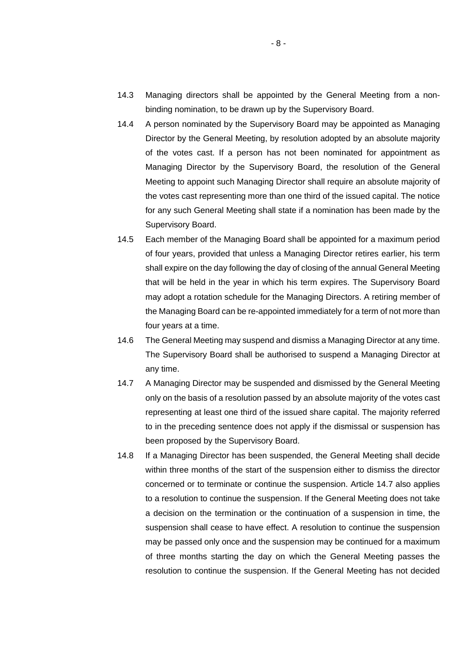- 14.3 Managing directors shall be appointed by the General Meeting from a nonbinding nomination, to be drawn up by the Supervisory Board.
- 14.4 A person nominated by the Supervisory Board may be appointed as Managing Director by the General Meeting, by resolution adopted by an absolute majority of the votes cast. If a person has not been nominated for appointment as Managing Director by the Supervisory Board, the resolution of the General Meeting to appoint such Managing Director shall require an absolute majority of the votes cast representing more than one third of the issued capital. The notice for any such General Meeting shall state if a nomination has been made by the Supervisory Board.
- 14.5 Each member of the Managing Board shall be appointed for a maximum period of four years, provided that unless a Managing Director retires earlier, his term shall expire on the day following the day of closing of the annual General Meeting that will be held in the year in which his term expires. The Supervisory Board may adopt a rotation schedule for the Managing Directors. A retiring member of the Managing Board can be re-appointed immediately for a term of not more than four years at a time.
- 14.6 The General Meeting may suspend and dismiss a Managing Director at any time. The Supervisory Board shall be authorised to suspend a Managing Director at any time.
- <span id="page-7-0"></span>14.7 A Managing Director may be suspended and dismissed by the General Meeting only on the basis of a resolution passed by an absolute majority of the votes cast representing at least one third of the issued share capital. The majority referred to in the preceding sentence does not apply if the dismissal or suspension has been proposed by the Supervisory Board.
- <span id="page-7-1"></span>14.8 If a Managing Director has been suspended, the General Meeting shall decide within three months of the start of the suspension either to dismiss the director concerned or to terminate or continue the suspension. Article [14.7](#page-7-0) also applies to a resolution to continue the suspension. If the General Meeting does not take a decision on the termination or the continuation of a suspension in time, the suspension shall cease to have effect. A resolution to continue the suspension may be passed only once and the suspension may be continued for a maximum of three months starting the day on which the General Meeting passes the resolution to continue the suspension. If the General Meeting has not decided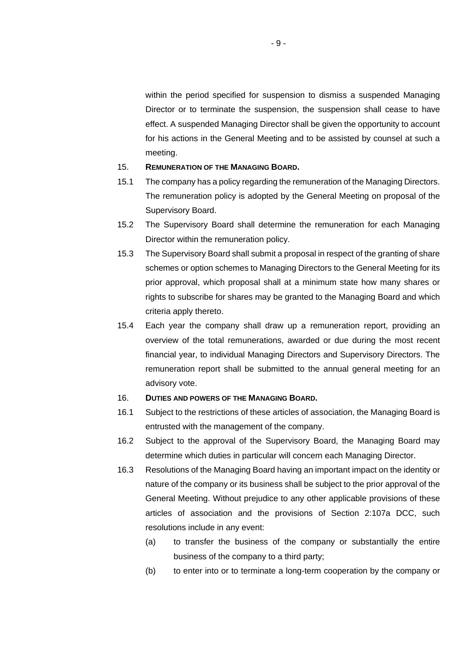within the period specified for suspension to dismiss a suspended Managing Director or to terminate the suspension, the suspension shall cease to have effect. A suspended Managing Director shall be given the opportunity to account for his actions in the General Meeting and to be assisted by counsel at such a meeting.

#### 15. **REMUNERATION OF THE MANAGING BOARD.**

- 15.1 The company has a policy regarding the remuneration of the Managing Directors. The remuneration policy is adopted by the General Meeting on proposal of the Supervisory Board.
- 15.2 The Supervisory Board shall determine the remuneration for each Managing Director within the remuneration policy.
- 15.3 The Supervisory Board shall submit a proposal in respect of the granting of share schemes or option schemes to Managing Directors to the General Meeting for its prior approval, which proposal shall at a minimum state how many shares or rights to subscribe for shares may be granted to the Managing Board and which criteria apply thereto.
- 15.4 Each year the company shall draw up a remuneration report, providing an overview of the total remunerations, awarded or due during the most recent financial year, to individual Managing Directors and Supervisory Directors. The remuneration report shall be submitted to the annual general meeting for an advisory vote.

### 16. **DUTIES AND POWERS OF THE MANAGING BOARD.**

- 16.1 Subject to the restrictions of these articles of association, the Managing Board is entrusted with the management of the company.
- 16.2 Subject to the approval of the Supervisory Board, the Managing Board may determine which duties in particular will concern each Managing Director.
- <span id="page-8-0"></span>16.3 Resolutions of the Managing Board having an important impact on the identity or nature of the company or its business shall be subject to the prior approval of the General Meeting. Without prejudice to any other applicable provisions of these articles of association and the provisions of Section 2:107a DCC, such resolutions include in any event:
	- (a) to transfer the business of the company or substantially the entire business of the company to a third party;
	- (b) to enter into or to terminate a long-term cooperation by the company or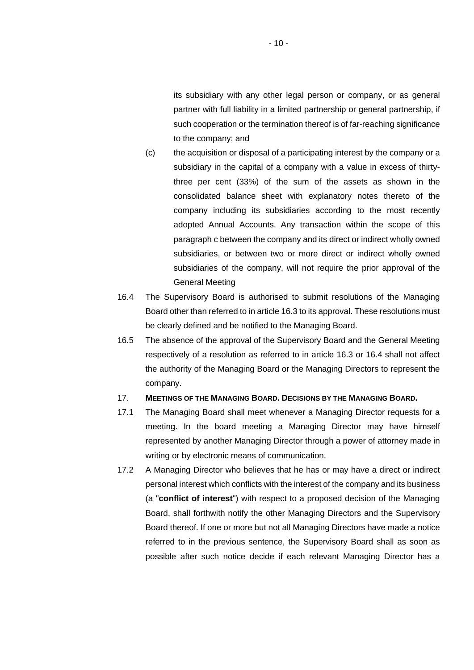its subsidiary with any other legal person or company, or as general partner with full liability in a limited partnership or general partnership, if such cooperation or the termination thereof is of far-reaching significance to the company; and

- (c) the acquisition or disposal of a participating interest by the company or a subsidiary in the capital of a company with a value in excess of thirtythree per cent (33%) of the sum of the assets as shown in the consolidated balance sheet with explanatory notes thereto of the company including its subsidiaries according to the most recently adopted Annual Accounts. Any transaction within the scope of this paragraph c between the company and its direct or indirect wholly owned subsidiaries, or between two or more direct or indirect wholly owned subsidiaries of the company, will not require the prior approval of the General Meeting
- <span id="page-9-0"></span>16.4 The Supervisory Board is authorised to submit resolutions of the Managing Board other than referred to in article [16.3](#page-8-0) to its approval. These resolutions must be clearly defined and be notified to the Managing Board.
- 16.5 The absence of the approval of the Supervisory Board and the General Meeting respectively of a resolution as referred to in article [16.3](#page-8-0) or [16.4](#page-9-0) shall not affect the authority of the Managing Board or the Managing Directors to represent the company.

## 17. **MEETINGS OF THE MANAGING BOARD. DECISIONS BY THE MANAGING BOARD.**

- 17.1 The Managing Board shall meet whenever a Managing Director requests for a meeting. In the board meeting a Managing Director may have himself represented by another Managing Director through a power of attorney made in writing or by electronic means of communication.
- <span id="page-9-1"></span>17.2 A Managing Director who believes that he has or may have a direct or indirect personal interest which conflicts with the interest of the company and its business (a "**conflict of interest**") with respect to a proposed decision of the Managing Board, shall forthwith notify the other Managing Directors and the Supervisory Board thereof. If one or more but not all Managing Directors have made a notice referred to in the previous sentence, the Supervisory Board shall as soon as possible after such notice decide if each relevant Managing Director has a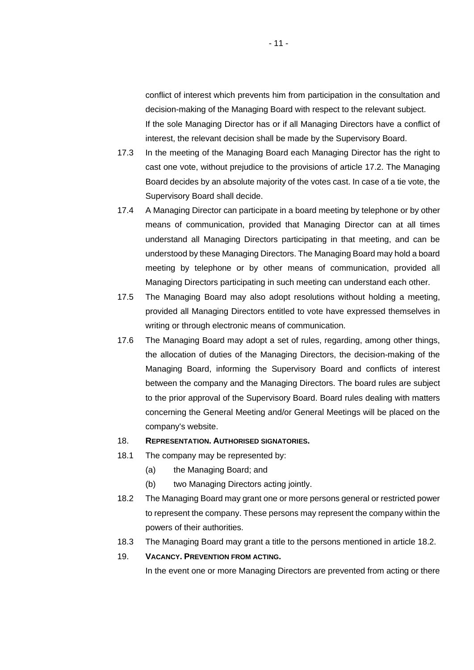conflict of interest which prevents him from participation in the consultation and decision-making of the Managing Board with respect to the relevant subject. If the sole Managing Director has or if all Managing Directors have a conflict of interest, the relevant decision shall be made by the Supervisory Board.

- 17.3 In the meeting of the Managing Board each Managing Director has the right to cast one vote, without prejudice to the provisions of article [17.2](#page-9-1). The Managing Board decides by an absolute majority of the votes cast. In case of a tie vote, the Supervisory Board shall decide.
- 17.4 A Managing Director can participate in a board meeting by telephone or by other means of communication, provided that Managing Director can at all times understand all Managing Directors participating in that meeting, and can be understood by these Managing Directors. The Managing Board may hold a board meeting by telephone or by other means of communication, provided all Managing Directors participating in such meeting can understand each other.
- 17.5 The Managing Board may also adopt resolutions without holding a meeting, provided all Managing Directors entitled to vote have expressed themselves in writing or through electronic means of communication.
- 17.6 The Managing Board may adopt a set of rules, regarding, among other things, the allocation of duties of the Managing Directors, the decision-making of the Managing Board, informing the Supervisory Board and conflicts of interest between the company and the Managing Directors. The board rules are subject to the prior approval of the Supervisory Board. Board rules dealing with matters concerning the General Meeting and/or General Meetings will be placed on the company's website.

### 18. **REPRESENTATION. AUTHORISED SIGNATORIES.**

- 18.1 The company may be represented by:
	- (a) the Managing Board; and
	- (b) two Managing Directors acting jointly.
- <span id="page-10-0"></span>18.2 The Managing Board may grant one or more persons general or restricted power to represent the company. These persons may represent the company within the powers of their authorities.
- 18.3 The Managing Board may grant a title to the persons mentioned in article [18.2](#page-10-0).
- 19. **VACANCY. PREVENTION FROM ACTING.**

In the event one or more Managing Directors are prevented from acting or there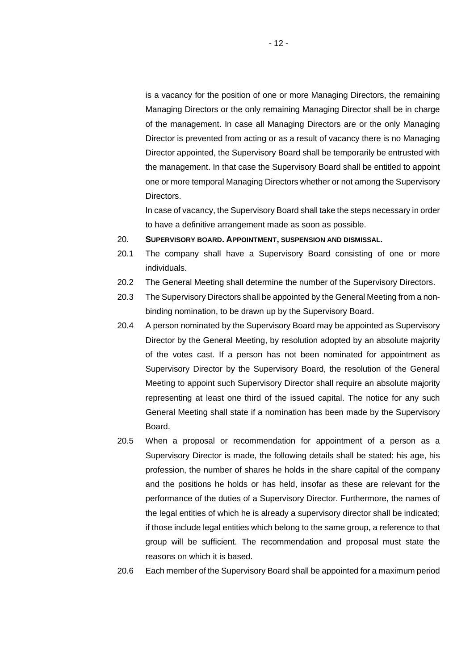is a vacancy for the position of one or more Managing Directors, the remaining Managing Directors or the only remaining Managing Director shall be in charge of the management. In case all Managing Directors are or the only Managing Director is prevented from acting or as a result of vacancy there is no Managing Director appointed, the Supervisory Board shall be temporarily be entrusted with the management. In that case the Supervisory Board shall be entitled to appoint one or more temporal Managing Directors whether or not among the Supervisory Directors.

<span id="page-11-0"></span>In case of vacancy, the Supervisory Board shall take the steps necessary in order to have a definitive arrangement made as soon as possible.

- 20. **SUPERVISORY BOARD. APPOINTMENT, SUSPENSION AND DISMISSAL.**
- 20.1 The company shall have a Supervisory Board consisting of one or more individuals.
- 20.2 The General Meeting shall determine the number of the Supervisory Directors.
- 20.3 The Supervisory Directors shall be appointed by the General Meeting from a nonbinding nomination, to be drawn up by the Supervisory Board.
- 20.4 A person nominated by the Supervisory Board may be appointed as Supervisory Director by the General Meeting, by resolution adopted by an absolute majority of the votes cast. If a person has not been nominated for appointment as Supervisory Director by the Supervisory Board, the resolution of the General Meeting to appoint such Supervisory Director shall require an absolute majority representing at least one third of the issued capital. The notice for any such General Meeting shall state if a nomination has been made by the Supervisory Board.
- 20.5 When a proposal or recommendation for appointment of a person as a Supervisory Director is made, the following details shall be stated: his age, his profession, the number of shares he holds in the share capital of the company and the positions he holds or has held, insofar as these are relevant for the performance of the duties of a Supervisory Director. Furthermore, the names of the legal entities of which he is already a supervisory director shall be indicated; if those include legal entities which belong to the same group, a reference to that group will be sufficient. The recommendation and proposal must state the reasons on which it is based.
- 20.6 Each member of the Supervisory Board shall be appointed for a maximum period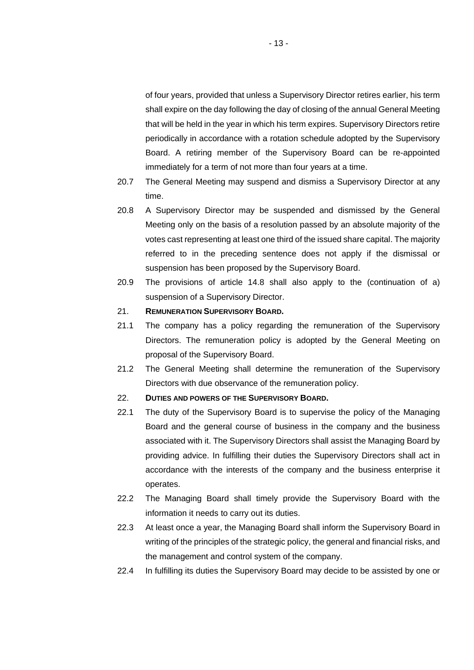of four years, provided that unless a Supervisory Director retires earlier, his term shall expire on the day following the day of closing of the annual General Meeting that will be held in the year in which his term expires. Supervisory Directors retire periodically in accordance with a rotation schedule adopted by the Supervisory Board. A retiring member of the Supervisory Board can be re-appointed immediately for a term of not more than four years at a time.

- 20.7 The General Meeting may suspend and dismiss a Supervisory Director at any time.
- 20.8 A Supervisory Director may be suspended and dismissed by the General Meeting only on the basis of a resolution passed by an absolute majority of the votes cast representing at least one third of the issued share capital. The majority referred to in the preceding sentence does not apply if the dismissal or suspension has been proposed by the Supervisory Board.
- 20.9 The provisions of article [14.8](#page-7-1) shall also apply to the (continuation of a) suspension of a Supervisory Director.

### 21. **REMUNERATION SUPERVISORY BOARD.**

- 21.1 The company has a policy regarding the remuneration of the Supervisory Directors. The remuneration policy is adopted by the General Meeting on proposal of the Supervisory Board.
- 21.2 The General Meeting shall determine the remuneration of the Supervisory Directors with due observance of the remuneration policy.
- 22. **DUTIES AND POWERS OF THE SUPERVISORY BOARD.**
- 22.1 The duty of the Supervisory Board is to supervise the policy of the Managing Board and the general course of business in the company and the business associated with it. The Supervisory Directors shall assist the Managing Board by providing advice. In fulfilling their duties the Supervisory Directors shall act in accordance with the interests of the company and the business enterprise it operates.
- 22.2 The Managing Board shall timely provide the Supervisory Board with the information it needs to carry out its duties.
- 22.3 At least once a year, the Managing Board shall inform the Supervisory Board in writing of the principles of the strategic policy, the general and financial risks, and the management and control system of the company.
- 22.4 In fulfilling its duties the Supervisory Board may decide to be assisted by one or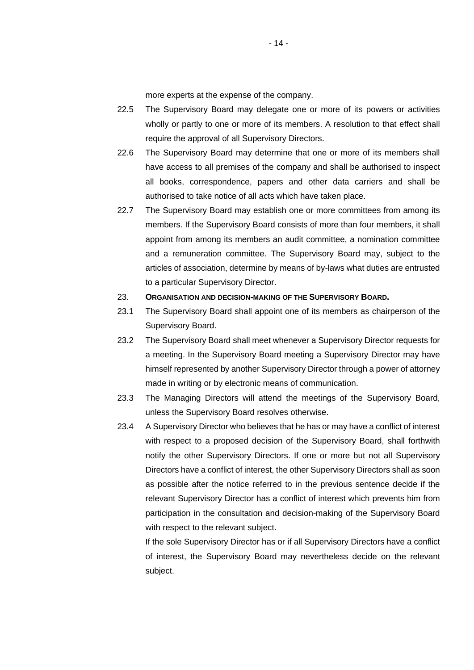more experts at the expense of the company.

- 22.5 The Supervisory Board may delegate one or more of its powers or activities wholly or partly to one or more of its members. A resolution to that effect shall require the approval of all Supervisory Directors.
- 22.6 The Supervisory Board may determine that one or more of its members shall have access to all premises of the company and shall be authorised to inspect all books, correspondence, papers and other data carriers and shall be authorised to take notice of all acts which have taken place.
- 22.7 The Supervisory Board may establish one or more committees from among its members. If the Supervisory Board consists of more than four members, it shall appoint from among its members an audit committee, a nomination committee and a remuneration committee. The Supervisory Board may, subject to the articles of association, determine by means of by-laws what duties are entrusted to a particular Supervisory Director.

#### 23. **ORGANISATION AND DECISION-MAKING OF THE SUPERVISORY BOARD.**

- 23.1 The Supervisory Board shall appoint one of its members as chairperson of the Supervisory Board.
- 23.2 The Supervisory Board shall meet whenever a Supervisory Director requests for a meeting. In the Supervisory Board meeting a Supervisory Director may have himself represented by another Supervisory Director through a power of attorney made in writing or by electronic means of communication.
- 23.3 The Managing Directors will attend the meetings of the Supervisory Board, unless the Supervisory Board resolves otherwise.
- <span id="page-13-0"></span>23.4 A Supervisory Director who believes that he has or may have a conflict of interest with respect to a proposed decision of the Supervisory Board, shall forthwith notify the other Supervisory Directors. If one or more but not all Supervisory Directors have a conflict of interest, the other Supervisory Directors shall as soon as possible after the notice referred to in the previous sentence decide if the relevant Supervisory Director has a conflict of interest which prevents him from participation in the consultation and decision-making of the Supervisory Board with respect to the relevant subject.

If the sole Supervisory Director has or if all Supervisory Directors have a conflict of interest, the Supervisory Board may nevertheless decide on the relevant subject.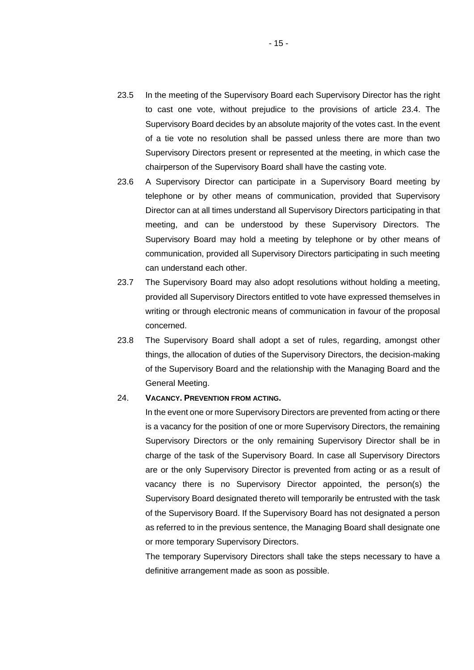- 23.5 In the meeting of the Supervisory Board each Supervisory Director has the right to cast one vote, without prejudice to the provisions of article [23.4.](#page-13-0) The Supervisory Board decides by an absolute majority of the votes cast. In the event of a tie vote no resolution shall be passed unless there are more than two Supervisory Directors present or represented at the meeting, in which case the chairperson of the Supervisory Board shall have the casting vote.
- 23.6 A Supervisory Director can participate in a Supervisory Board meeting by telephone or by other means of communication, provided that Supervisory Director can at all times understand all Supervisory Directors participating in that meeting, and can be understood by these Supervisory Directors. The Supervisory Board may hold a meeting by telephone or by other means of communication, provided all Supervisory Directors participating in such meeting can understand each other.
- 23.7 The Supervisory Board may also adopt resolutions without holding a meeting, provided all Supervisory Directors entitled to vote have expressed themselves in writing or through electronic means of communication in favour of the proposal concerned.
- 23.8 The Supervisory Board shall adopt a set of rules, regarding, amongst other things, the allocation of duties of the Supervisory Directors, the decision-making of the Supervisory Board and the relationship with the Managing Board and the General Meeting.

#### 24. **VACANCY. PREVENTION FROM ACTING.**

In the event one or more Supervisory Directors are prevented from acting or there is a vacancy for the position of one or more Supervisory Directors, the remaining Supervisory Directors or the only remaining Supervisory Director shall be in charge of the task of the Supervisory Board. In case all Supervisory Directors are or the only Supervisory Director is prevented from acting or as a result of vacancy there is no Supervisory Director appointed, the person(s) the Supervisory Board designated thereto will temporarily be entrusted with the task of the Supervisory Board. If the Supervisory Board has not designated a person as referred to in the previous sentence, the Managing Board shall designate one or more temporary Supervisory Directors.

The temporary Supervisory Directors shall take the steps necessary to have a definitive arrangement made as soon as possible.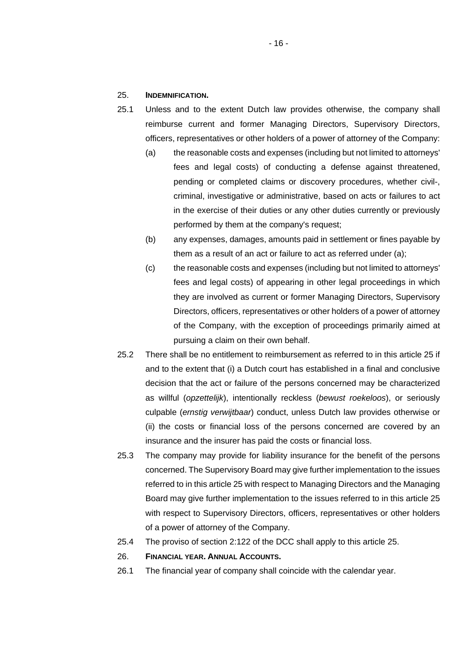### <span id="page-15-0"></span>25. **INDEMNIFICATION.**

- 25.1 Unless and to the extent Dutch law provides otherwise, the company shall reimburse current and former Managing Directors, Supervisory Directors, officers, representatives or other holders of a power of attorney of the Company:
	- (a) the reasonable costs and expenses (including but not limited to attorneys' fees and legal costs) of conducting a defense against threatened, pending or completed claims or discovery procedures, whether civil-, criminal, investigative or administrative, based on acts or failures to act in the exercise of their duties or any other duties currently or previously performed by them at the company's request;
	- (b) any expenses, damages, amounts paid in settlement or fines payable by them as a result of an act or failure to act as referred under (a);
	- (c) the reasonable costs and expenses (including but not limited to attorneys' fees and legal costs) of appearing in other legal proceedings in which they are involved as current or former Managing Directors, Supervisory Directors, officers, representatives or other holders of a power of attorney of the Company, with the exception of proceedings primarily aimed at pursuing a claim on their own behalf.
- 25.2 There shall be no entitlement to reimbursement as referred to in this article [25](#page-15-0) if and to the extent that (i) a Dutch court has established in a final and conclusive decision that the act or failure of the persons concerned may be characterized as willful (*opzettelijk*), intentionally reckless (*bewust roekeloos*), or seriously culpable (*ernstig verwijtbaar*) conduct, unless Dutch law provides otherwise or (ii) the costs or financial loss of the persons concerned are covered by an insurance and the insurer has paid the costs or financial loss.
- 25.3 The company may provide for liability insurance for the benefit of the persons concerned. The Supervisory Board may give further implementation to the issues referred to in this article [25](#page-15-0) with respect to Managing Directors and the Managing Board may give further implementation to the issues referred to in this article [25](#page-15-0)  with respect to Supervisory Directors, officers, representatives or other holders of a power of attorney of the Company.
- 25.4 The proviso of section 2:122 of the DCC shall apply to this article [25.](#page-15-0)
- 26. **FINANCIAL YEAR. ANNUAL ACCOUNTS.**
- 26.1 The financial year of company shall coincide with the calendar year.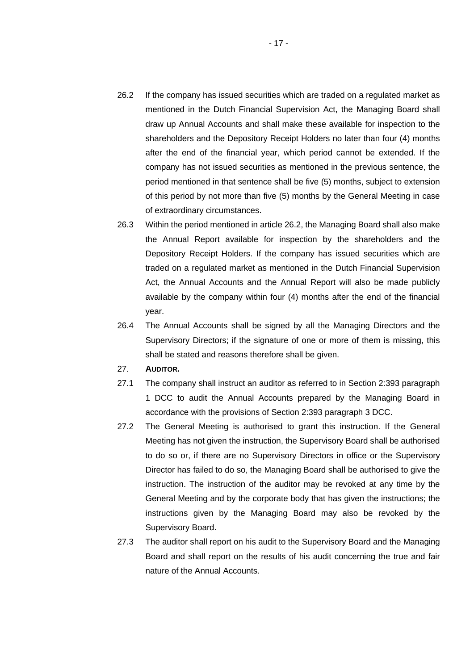- <span id="page-16-0"></span>26.2 If the company has issued securities which are traded on a regulated market as mentioned in the Dutch Financial Supervision Act, the Managing Board shall draw up Annual Accounts and shall make these available for inspection to the shareholders and the Depository Receipt Holders no later than four (4) months after the end of the financial year, which period cannot be extended. If the company has not issued securities as mentioned in the previous sentence, the period mentioned in that sentence shall be five (5) months, subject to extension of this period by not more than five (5) months by the General Meeting in case of extraordinary circumstances.
- 26.3 Within the period mentioned in article [26.2](#page-16-0), the Managing Board shall also make the Annual Report available for inspection by the shareholders and the Depository Receipt Holders. If the company has issued securities which are traded on a regulated market as mentioned in the Dutch Financial Supervision Act, the Annual Accounts and the Annual Report will also be made publicly available by the company within four (4) months after the end of the financial year.
- 26.4 The Annual Accounts shall be signed by all the Managing Directors and the Supervisory Directors; if the signature of one or more of them is missing, this shall be stated and reasons therefore shall be given.
- 27. **AUDITOR.**
- 27.1 The company shall instruct an auditor as referred to in Section 2:393 paragraph 1 DCC to audit the Annual Accounts prepared by the Managing Board in accordance with the provisions of Section 2:393 paragraph 3 DCC.
- 27.2 The General Meeting is authorised to grant this instruction. If the General Meeting has not given the instruction, the Supervisory Board shall be authorised to do so or, if there are no Supervisory Directors in office or the Supervisory Director has failed to do so, the Managing Board shall be authorised to give the instruction. The instruction of the auditor may be revoked at any time by the General Meeting and by the corporate body that has given the instructions; the instructions given by the Managing Board may also be revoked by the Supervisory Board.
- 27.3 The auditor shall report on his audit to the Supervisory Board and the Managing Board and shall report on the results of his audit concerning the true and fair nature of the Annual Accounts.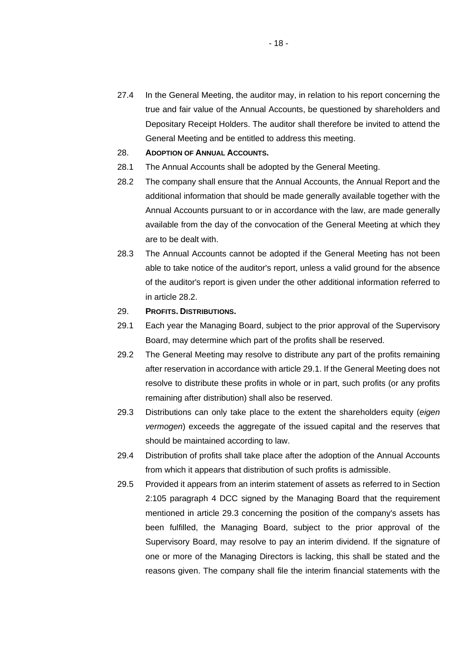- 27.4 In the General Meeting, the auditor may, in relation to his report concerning the true and fair value of the Annual Accounts, be questioned by shareholders and Depositary Receipt Holders. The auditor shall therefore be invited to attend the General Meeting and be entitled to address this meeting.
- 28. **ADOPTION OF ANNUAL ACCOUNTS.**
- <span id="page-17-0"></span>28.1 The Annual Accounts shall be adopted by the General Meeting.
- 28.2 The company shall ensure that the Annual Accounts, the Annual Report and the additional information that should be made generally available together with the Annual Accounts pursuant to or in accordance with the law, are made generally available from the day of the convocation of the General Meeting at which they are to be dealt with.
- 28.3 The Annual Accounts cannot be adopted if the General Meeting has not been able to take notice of the auditor's report, unless a valid ground for the absence of the auditor's report is given under the other additional information referred to in article [28.2](#page-17-0).
- <span id="page-17-1"></span>29. **PROFITS. DISTRIBUTIONS.**
- 29.1 Each year the Managing Board, subject to the prior approval of the Supervisory Board, may determine which part of the profits shall be reserved.
- 29.2 The General Meeting may resolve to distribute any part of the profits remaining after reservation in accordance with article [29.1](#page-17-1). If the General Meeting does not resolve to distribute these profits in whole or in part, such profits (or any profits remaining after distribution) shall also be reserved.
- <span id="page-17-2"></span>29.3 Distributions can only take place to the extent the shareholders equity (*eigen vermogen*) exceeds the aggregate of the issued capital and the reserves that should be maintained according to law.
- 29.4 Distribution of profits shall take place after the adoption of the Annual Accounts from which it appears that distribution of such profits is admissible.
- 29.5 Provided it appears from an interim statement of assets as referred to in Section 2:105 paragraph 4 DCC signed by the Managing Board that the requirement mentioned in article 29.3 concerning the position of the company's assets has been fulfilled, the Managing Board, subject to the prior approval of the Supervisory Board, may resolve to pay an interim dividend. If the signature of one or more of the Managing Directors is lacking, this shall be stated and the reasons given. The company shall file the interim financial statements with the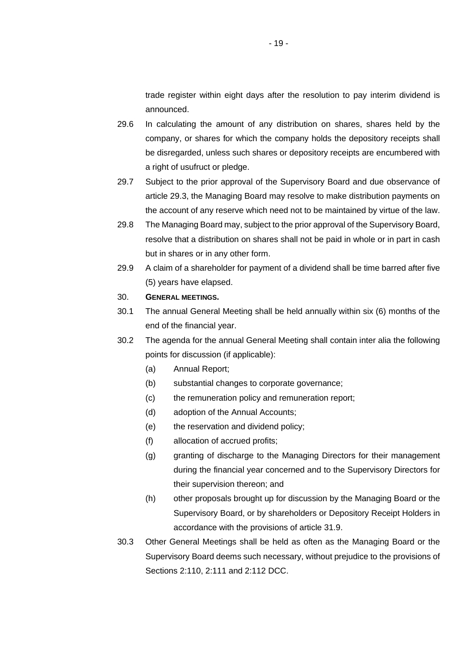trade register within eight days after the resolution to pay interim dividend is announced.

- 29.6 In calculating the amount of any distribution on shares, shares held by the company, or shares for which the company holds the depository receipts shall be disregarded, unless such shares or depository receipts are encumbered with a right of usufruct or pledge.
- 29.7 Subject to the prior approval of the Supervisory Board and due observance of article [29.3](#page-17-2), the Managing Board may resolve to make distribution payments on the account of any reserve which need not to be maintained by virtue of the law.
- 29.8 The Managing Board may, subject to the prior approval of the Supervisory Board, resolve that a distribution on shares shall not be paid in whole or in part in cash but in shares or in any other form.
- 29.9 A claim of a shareholder for payment of a dividend shall be time barred after five (5) years have elapsed.

#### 30. **GENERAL MEETINGS.**

- 30.1 The annual General Meeting shall be held annually within six (6) months of the end of the financial year.
- 30.2 The agenda for the annual General Meeting shall contain inter alia the following points for discussion (if applicable):
	- (a) Annual Report;
	- (b) substantial changes to corporate governance;
	- (c) the remuneration policy and remuneration report;
	- (d) adoption of the Annual Accounts;
	- (e) the reservation and dividend policy;
	- (f) allocation of accrued profits;
	- (g) granting of discharge to the Managing Directors for their management during the financial year concerned and to the Supervisory Directors for their supervision thereon; and
	- (h) other proposals brought up for discussion by the Managing Board or the Supervisory Board, or by shareholders or Depository Receipt Holders in accordance with the provisions of article 31.9.
- 30.3 Other General Meetings shall be held as often as the Managing Board or the Supervisory Board deems such necessary, without prejudice to the provisions of Sections 2:110, 2:111 and 2:112 DCC.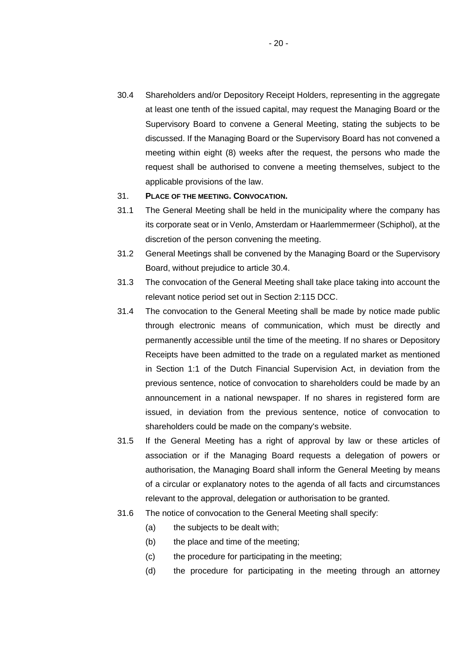30.4 Shareholders and/or Depository Receipt Holders, representing in the aggregate at least one tenth of the issued capital, may request the Managing Board or the Supervisory Board to convene a General Meeting, stating the subjects to be discussed. If the Managing Board or the Supervisory Board has not convened a meeting within eight (8) weeks after the request, the persons who made the request shall be authorised to convene a meeting themselves, subject to the applicable provisions of the law.

### 31. **PLACE OF THE MEETING. CONVOCATION.**

- 31.1 The General Meeting shall be held in the municipality where the company has its corporate seat or in Venlo, Amsterdam or Haarlemmermeer (Schiphol), at the discretion of the person convening the meeting.
- 31.2 General Meetings shall be convened by the Managing Board or the Supervisory Board, without prejudice to article 30.4.
- 31.3 The convocation of the General Meeting shall take place taking into account the relevant notice period set out in Section 2:115 DCC.
- 31.4 The convocation to the General Meeting shall be made by notice made public through electronic means of communication, which must be directly and permanently accessible until the time of the meeting. If no shares or Depository Receipts have been admitted to the trade on a regulated market as mentioned in Section 1:1 of the Dutch Financial Supervision Act, in deviation from the previous sentence, notice of convocation to shareholders could be made by an announcement in a national newspaper. If no shares in registered form are issued, in deviation from the previous sentence, notice of convocation to shareholders could be made on the company's website.
- 31.5 If the General Meeting has a right of approval by law or these articles of association or if the Managing Board requests a delegation of powers or authorisation, the Managing Board shall inform the General Meeting by means of a circular or explanatory notes to the agenda of all facts and circumstances relevant to the approval, delegation or authorisation to be granted.
- 31.6 The notice of convocation to the General Meeting shall specify:
	- (a) the subjects to be dealt with;
	- (b) the place and time of the meeting;
	- (c) the procedure for participating in the meeting;
	- (d) the procedure for participating in the meeting through an attorney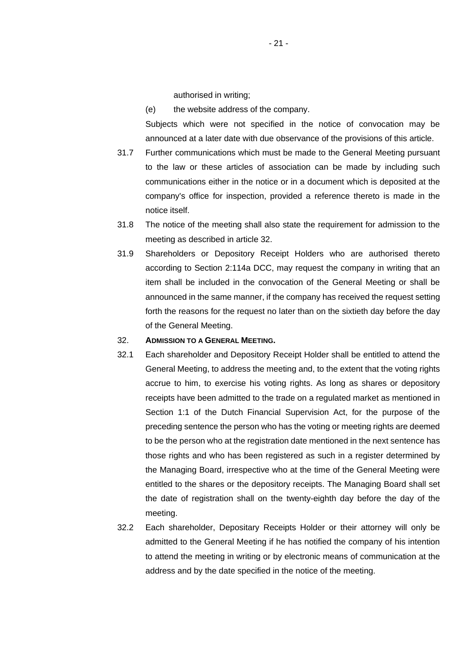authorised in writing;

(e) the website address of the company.

Subjects which were not specified in the notice of convocation may be announced at a later date with due observance of the provisions of this article.

- 31.7 Further communications which must be made to the General Meeting pursuant to the law or these articles of association can be made by including such communications either in the notice or in a document which is deposited at the company's office for inspection, provided a reference thereto is made in the notice itself.
- 31.8 The notice of the meeting shall also state the requirement for admission to the meeting as described in article [32](#page-20-0).
- 31.9 Shareholders or Depository Receipt Holders who are authorised thereto according to Section 2:114a DCC, may request the company in writing that an item shall be included in the convocation of the General Meeting or shall be announced in the same manner, if the company has received the request setting forth the reasons for the request no later than on the sixtieth day before the day of the General Meeting.

#### <span id="page-20-1"></span><span id="page-20-0"></span>32. **ADMISSION TO A GENERAL MEETING.**

- 32.1 Each shareholder and Depository Receipt Holder shall be entitled to attend the General Meeting, to address the meeting and, to the extent that the voting rights accrue to him, to exercise his voting rights. As long as shares or depository receipts have been admitted to the trade on a regulated market as mentioned in Section 1:1 of the Dutch Financial Supervision Act, for the purpose of the preceding sentence the person who has the voting or meeting rights are deemed to be the person who at the registration date mentioned in the next sentence has those rights and who has been registered as such in a register determined by the Managing Board, irrespective who at the time of the General Meeting were entitled to the shares or the depository receipts. The Managing Board shall set the date of registration shall on the twenty-eighth day before the day of the meeting.
- 32.2 Each shareholder, Depositary Receipts Holder or their attorney will only be admitted to the General Meeting if he has notified the company of his intention to attend the meeting in writing or by electronic means of communication at the address and by the date specified in the notice of the meeting.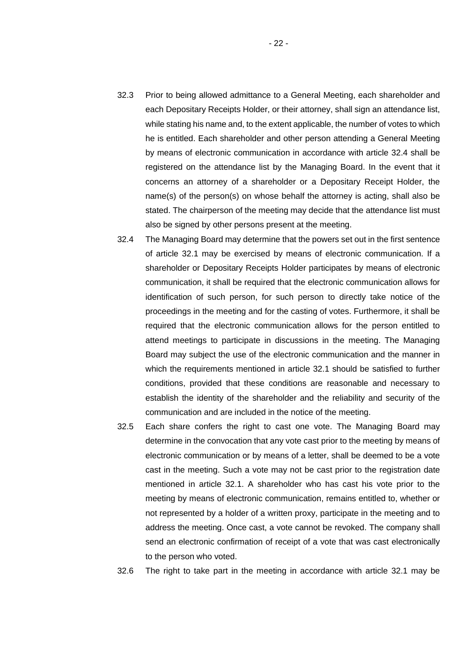- 32.3 Prior to being allowed admittance to a General Meeting, each shareholder and each Depositary Receipts Holder, or their attorney, shall sign an attendance list, while stating his name and, to the extent applicable, the number of votes to which he is entitled. Each shareholder and other person attending a General Meeting by means of electronic communication in accordance with article 32.4 shall be registered on the attendance list by the Managing Board. In the event that it concerns an attorney of a shareholder or a Depositary Receipt Holder, the name(s) of the person(s) on whose behalf the attorney is acting, shall also be stated. The chairperson of the meeting may decide that the attendance list must also be signed by other persons present at the meeting.
- 32.4 The Managing Board may determine that the powers set out in the first sentence of article [32.1](#page-20-1) may be exercised by means of electronic communication. If a shareholder or Depositary Receipts Holder participates by means of electronic communication, it shall be required that the electronic communication allows for identification of such person, for such person to directly take notice of the proceedings in the meeting and for the casting of votes. Furthermore, it shall be required that the electronic communication allows for the person entitled to attend meetings to participate in discussions in the meeting. The Managing Board may subject the use of the electronic communication and the manner in which the requirements mentioned in article [32.1](#page-20-1) should be satisfied to further conditions, provided that these conditions are reasonable and necessary to establish the identity of the shareholder and the reliability and security of the communication and are included in the notice of the meeting.
- 32.5 Each share confers the right to cast one vote. The Managing Board may determine in the convocation that any vote cast prior to the meeting by means of electronic communication or by means of a letter, shall be deemed to be a vote cast in the meeting. Such a vote may not be cast prior to the registration date mentioned in article [32.1.](#page-20-1) A shareholder who has cast his vote prior to the meeting by means of electronic communication, remains entitled to, whether or not represented by a holder of a written proxy, participate in the meeting and to address the meeting. Once cast, a vote cannot be revoked. The company shall send an electronic confirmation of receipt of a vote that was cast electronically to the person who voted.

32.6 The right to take part in the meeting in accordance with article [32.1](#page-20-1) may be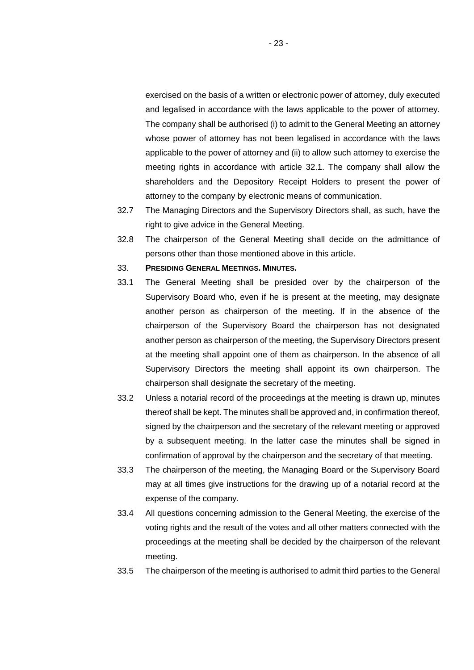exercised on the basis of a written or electronic power of attorney, duly executed and legalised in accordance with the laws applicable to the power of attorney. The company shall be authorised (i) to admit to the General Meeting an attorney whose power of attorney has not been legalised in accordance with the laws applicable to the power of attorney and (ii) to allow such attorney to exercise the meeting rights in accordance with article [32.1.](#page-20-1) The company shall allow the shareholders and the Depository Receipt Holders to present the power of attorney to the company by electronic means of communication.

- 32.7 The Managing Directors and the Supervisory Directors shall, as such, have the right to give advice in the General Meeting.
- 32.8 The chairperson of the General Meeting shall decide on the admittance of persons other than those mentioned above in this article.
- 33. **PRESIDING GENERAL MEETINGS. MINUTES.**
- 33.1 The General Meeting shall be presided over by the chairperson of the Supervisory Board who, even if he is present at the meeting, may designate another person as chairperson of the meeting. If in the absence of the chairperson of the Supervisory Board the chairperson has not designated another person as chairperson of the meeting, the Supervisory Directors present at the meeting shall appoint one of them as chairperson. In the absence of all Supervisory Directors the meeting shall appoint its own chairperson. The chairperson shall designate the secretary of the meeting.
- 33.2 Unless a notarial record of the proceedings at the meeting is drawn up, minutes thereof shall be kept. The minutes shall be approved and, in confirmation thereof, signed by the chairperson and the secretary of the relevant meeting or approved by a subsequent meeting. In the latter case the minutes shall be signed in confirmation of approval by the chairperson and the secretary of that meeting.
- 33.3 The chairperson of the meeting, the Managing Board or the Supervisory Board may at all times give instructions for the drawing up of a notarial record at the expense of the company.
- 33.4 All questions concerning admission to the General Meeting, the exercise of the voting rights and the result of the votes and all other matters connected with the proceedings at the meeting shall be decided by the chairperson of the relevant meeting.
- 33.5 The chairperson of the meeting is authorised to admit third parties to the General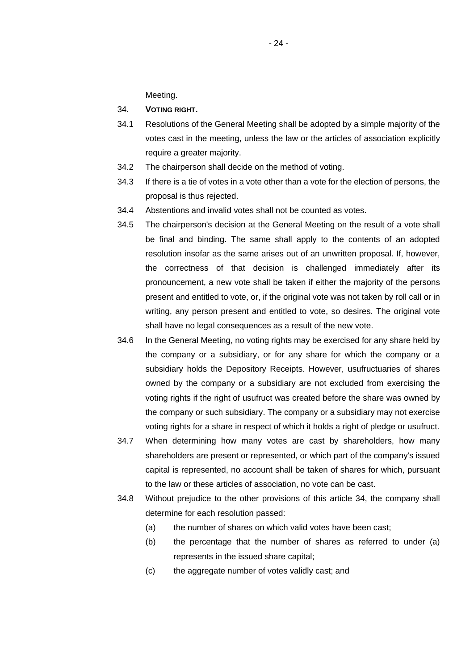Meeting.

### 34. **VOTING RIGHT.**

- 34.1 Resolutions of the General Meeting shall be adopted by a simple majority of the votes cast in the meeting, unless the law or the articles of association explicitly require a greater majority.
- 34.2 The chairperson shall decide on the method of voting.
- 34.3 If there is a tie of votes in a vote other than a vote for the election of persons, the proposal is thus rejected.
- 34.4 Abstentions and invalid votes shall not be counted as votes.
- 34.5 The chairperson's decision at the General Meeting on the result of a vote shall be final and binding. The same shall apply to the contents of an adopted resolution insofar as the same arises out of an unwritten proposal. If, however, the correctness of that decision is challenged immediately after its pronouncement, a new vote shall be taken if either the majority of the persons present and entitled to vote, or, if the original vote was not taken by roll call or in writing, any person present and entitled to vote, so desires. The original vote shall have no legal consequences as a result of the new vote.
- 34.6 In the General Meeting, no voting rights may be exercised for any share held by the company or a subsidiary, or for any share for which the company or a subsidiary holds the Depository Receipts. However, usufructuaries of shares owned by the company or a subsidiary are not excluded from exercising the voting rights if the right of usufruct was created before the share was owned by the company or such subsidiary. The company or a subsidiary may not exercise voting rights for a share in respect of which it holds a right of pledge or usufruct.
- 34.7 When determining how many votes are cast by shareholders, how many shareholders are present or represented, or which part of the company's issued capital is represented, no account shall be taken of shares for which, pursuant to the law or these articles of association, no vote can be cast.
- 34.8 Without prejudice to the other provisions of this article 34, the company shall determine for each resolution passed:
	- (a) the number of shares on which valid votes have been cast;
	- (b) the percentage that the number of shares as referred to under (a) represents in the issued share capital;
	- (c) the aggregate number of votes validly cast; and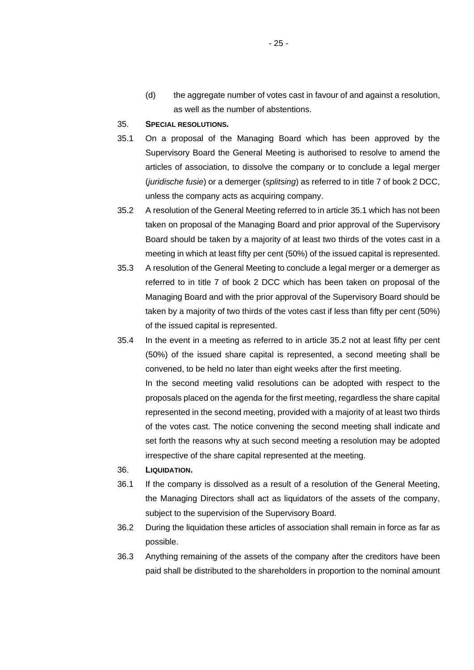(d) the aggregate number of votes cast in favour of and against a resolution, as well as the number of abstentions.

### <span id="page-24-0"></span>35. **SPECIAL RESOLUTIONS.**

- 35.1 On a proposal of the Managing Board which has been approved by the Supervisory Board the General Meeting is authorised to resolve to amend the articles of association, to dissolve the company or to conclude a legal merger (*juridische fusie*) or a demerger (*splitsing*) as referred to in title 7 of book 2 DCC, unless the company acts as acquiring company.
- <span id="page-24-1"></span>35.2 A resolution of the General Meeting referred to in article [35.1](#page-24-0) which has not been taken on proposal of the Managing Board and prior approval of the Supervisory Board should be taken by a majority of at least two thirds of the votes cast in a meeting in which at least fifty per cent (50%) of the issued capital is represented.
- 35.3 A resolution of the General Meeting to conclude a legal merger or a demerger as referred to in title 7 of book 2 DCC which has been taken on proposal of the Managing Board and with the prior approval of the Supervisory Board should be taken by a majority of two thirds of the votes cast if less than fifty per cent (50%) of the issued capital is represented.
- 35.4 In the event in a meeting as referred to in article [35.2](#page-24-1) not at least fifty per cent (50%) of the issued share capital is represented, a second meeting shall be convened, to be held no later than eight weeks after the first meeting. In the second meeting valid resolutions can be adopted with respect to the proposals placed on the agenda for the first meeting, regardless the share capital represented in the second meeting, provided with a majority of at least two thirds of the votes cast. The notice convening the second meeting shall indicate and set forth the reasons why at such second meeting a resolution may be adopted irrespective of the share capital represented at the meeting.
- 36. **LIQUIDATION.**
- 36.1 If the company is dissolved as a result of a resolution of the General Meeting, the Managing Directors shall act as liquidators of the assets of the company, subject to the supervision of the Supervisory Board.
- 36.2 During the liquidation these articles of association shall remain in force as far as possible.
- 36.3 Anything remaining of the assets of the company after the creditors have been paid shall be distributed to the shareholders in proportion to the nominal amount